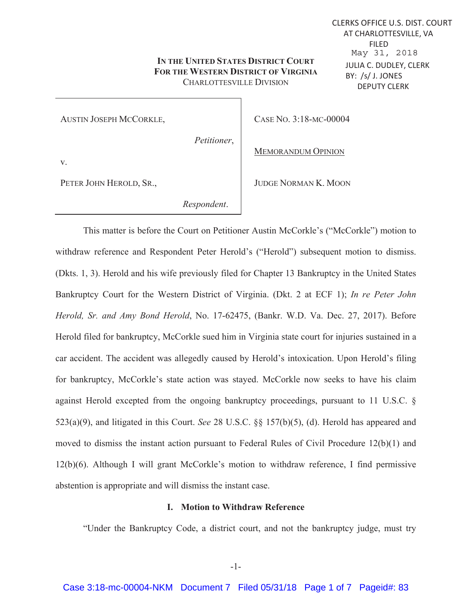# **IN THE UNITED STATES DISTRICT COURT FOR THE WESTERN DISTRICT OF VIRGINIA** CHARLOTTESVILLE DIVISION

AUSTIN JOSEPH MCCORKLE,

*Petitioner*,

CASE NO. 3:18-MC-00004

MEMORANDUM OPINION

JUDGE NORMAN K. MOON

v.

PETER JOHN HEROLD, SR.,

 *Respondent*.

This matter is before the Court on Petitioner Austin McCorkle's ("McCorkle") motion to withdraw reference and Respondent Peter Herold's ("Herold") subsequent motion to dismiss. (Dkts. 1, 3). Herold and his wife previously filed for Chapter 13 Bankruptcy in the United States Bankruptcy Court for the Western District of Virginia. (Dkt. 2 at ECF 1); *In re Peter John Herold, Sr. and Amy Bond Herold*, No. 17-62475, (Bankr. W.D. Va. Dec. 27, 2017). Before Herold filed for bankruptcy, McCorkle sued him in Virginia state court for injuries sustained in a car accident. The accident was allegedly caused by Herold's intoxication. Upon Herold's filing for bankruptcy, McCorkle's state action was stayed. McCorkle now seeks to have his claim against Herold excepted from the ongoing bankruptcy proceedings, pursuant to 11 U.S.C. § 523(a)(9), and litigated in this Court. *See* 28 U.S.C. §§ 157(b)(5), (d). Herold has appeared and moved to dismiss the instant action pursuant to Federal Rules of Civil Procedure 12(b)(1) and 12(b)(6). Although I will grant McCorkle's motion to withdraw reference, I find permissive abstention is appropriate and will dismiss the instant case.

# **I. Motion to Withdraw Reference**

"Under the Bankruptcy Code, a district court, and not the bankruptcy judge, must try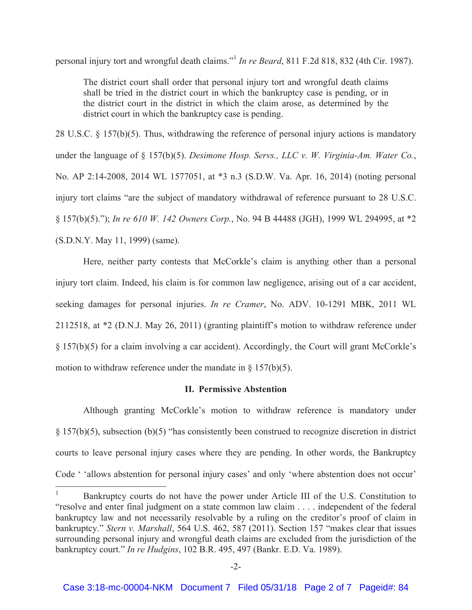personal injury tort and wrongful death claims."<sup>1</sup> *In re Beard*, 811 F.2d 818, 832 (4th Cir. 1987).

The district court shall order that personal injury tort and wrongful death claims shall be tried in the district court in which the bankruptcy case is pending, or in the district court in the district in which the claim arose, as determined by the district court in which the bankruptcy case is pending.

28 U.S.C. § 157(b)(5). Thus, withdrawing the reference of personal injury actions is mandatory under the language of § 157(b)(5). *Desimone Hosp. Servs., LLC v. W. Virginia-Am. Water Co.*, No. AP 2:14-2008, 2014 WL 1577051, at \*3 n.3 (S.D.W. Va. Apr. 16, 2014) (noting personal injury tort claims "are the subject of mandatory withdrawal of reference pursuant to 28 U.S.C. § 157(b)(5)."); *In re 610 W. 142 Owners Corp.*, No. 94 B 44488 (JGH), 1999 WL 294995, at \*2 (S.D.N.Y. May 11, 1999) (same).

 Here, neither party contests that McCorkle's claim is anything other than a personal injury tort claim. Indeed, his claim is for common law negligence, arising out of a car accident, seeking damages for personal injuries. *In re Cramer*, No. ADV. 10-1291 MBK, 2011 WL 2112518, at \*2 (D.N.J. May 26, 2011) (granting plaintiff's motion to withdraw reference under § 157(b)(5) for a claim involving a car accident). Accordingly, the Court will grant McCorkle's motion to withdraw reference under the mandate in  $\S$  157(b)(5).

## **II. Permissive Abstention**

Although granting McCorkle's motion to withdraw reference is mandatory under § 157(b)(5), subsection (b)(5) "has consistently been construed to recognize discretion in district courts to leave personal injury cases where they are pending. In other words, the Bankruptcy Code ' 'allows abstention for personal injury cases' and only 'where abstention does not occur'

 $\frac{1}{1}$  Bankruptcy courts do not have the power under Article III of the U.S. Constitution to "resolve and enter final judgment on a state common law claim . . . . independent of the federal bankruptcy law and not necessarily resolvable by a ruling on the creditor's proof of claim in bankruptcy." *Stern v. Marshall*, 564 U.S. 462, 587 (2011). Section 157 "makes clear that issues surrounding personal injury and wrongful death claims are excluded from the jurisdiction of the bankruptcy court." *In re Hudgins*, 102 B.R. 495, 497 (Bankr. E.D. Va. 1989).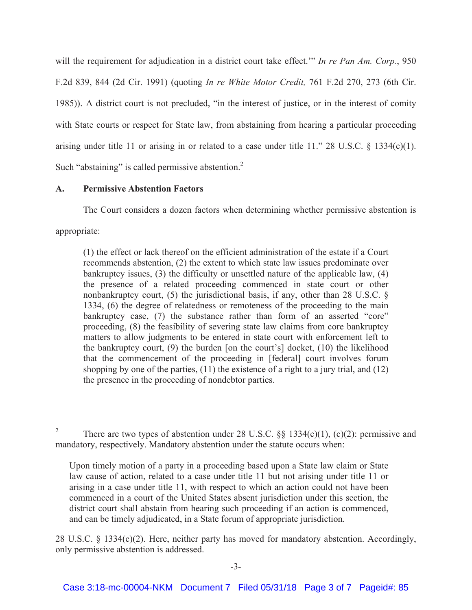will the requirement for adjudication in a district court take effect.'" *In re Pan Am. Corp.*, 950 F.2d 839, 844 (2d Cir. 1991) (quoting *In re White Motor Credit,* 761 F.2d 270, 273 (6th Cir. 1985)). A district court is not precluded, "in the interest of justice, or in the interest of comity with State courts or respect for State law, from abstaining from hearing a particular proceeding arising under title 11 or arising in or related to a case under title 11." 28 U.S.C.  $\S$  1334(c)(1). Such "abstaining" is called permissive abstention.<sup>2</sup>

#### **A. Permissive Abstention Factors**

The Court considers a dozen factors when determining whether permissive abstention is

appropriate:

(1) the effect or lack thereof on the efficient administration of the estate if a Court recommends abstention, (2) the extent to which state law issues predominate over bankruptcy issues, (3) the difficulty or unsettled nature of the applicable law, (4) the presence of a related proceeding commenced in state court or other nonbankruptcy court, (5) the jurisdictional basis, if any, other than 28 U.S.C. § 1334, (6) the degree of relatedness or remoteness of the proceeding to the main bankruptcy case, (7) the substance rather than form of an asserted "core" proceeding, (8) the feasibility of severing state law claims from core bankruptcy matters to allow judgments to be entered in state court with enforcement left to the bankruptcy court, (9) the burden [on the court's] docket, (10) the likelihood that the commencement of the proceeding in [federal] court involves forum shopping by one of the parties,  $(11)$  the existence of a right to a jury trial, and  $(12)$ the presence in the proceeding of nondebtor parties.

 $\frac{1}{2}$ There are two types of abstention under 28 U.S.C.  $\S$ § 1334(c)(1), (c)(2): permissive and mandatory, respectively. Mandatory abstention under the statute occurs when:

Upon timely motion of a party in a proceeding based upon a State law claim or State law cause of action, related to a case under title 11 but not arising under title 11 or arising in a case under title 11, with respect to which an action could not have been commenced in a court of the United States absent jurisdiction under this section, the district court shall abstain from hearing such proceeding if an action is commenced, and can be timely adjudicated, in a State forum of appropriate jurisdiction.

<sup>28</sup> U.S.C. § 1334(c)(2). Here, neither party has moved for mandatory abstention. Accordingly, only permissive abstention is addressed.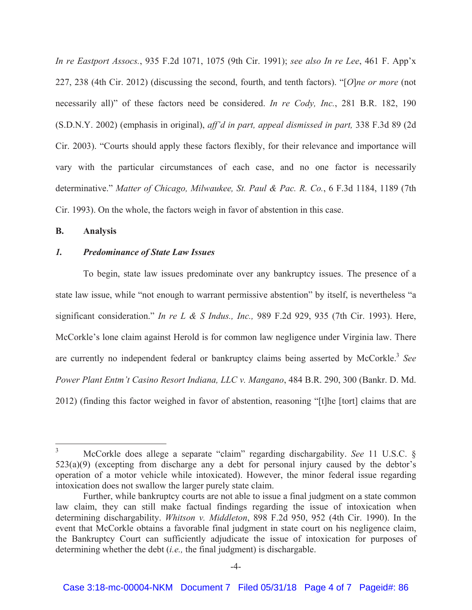*In re Eastport Assocs.*, 935 F.2d 1071, 1075 (9th Cir. 1991); *see also In re Lee*, 461 F. App'x 227, 238 (4th Cir. 2012) (discussing the second, fourth, and tenth factors). "[*O*]*ne or more* (not necessarily all)" of these factors need be considered. *In re Cody, Inc.*, 281 B.R. 182, 190 (S.D.N.Y. 2002) (emphasis in original), *aff'd in part, appeal dismissed in part,* 338 F.3d 89 (2d Cir. 2003). "Courts should apply these factors flexibly, for their relevance and importance will vary with the particular circumstances of each case, and no one factor is necessarily determinative." *Matter of Chicago, Milwaukee, St. Paul & Pac. R. Co.*, 6 F.3d 1184, 1189 (7th Cir. 1993). On the whole, the factors weigh in favor of abstention in this case.

#### **B. Analysis**

#### *1. Predominance of State Law Issues*

To begin, state law issues predominate over any bankruptcy issues. The presence of a state law issue, while "not enough to warrant permissive abstention" by itself, is nevertheless "a significant consideration." *In re L & S Indus., Inc.,* 989 F.2d 929, 935 (7th Cir. 1993). Here, McCorkle's lone claim against Herold is for common law negligence under Virginia law. There are currently no independent federal or bankruptcy claims being asserted by McCorkle.<sup>3</sup> See *Power Plant Entm't Casino Resort Indiana, LLC v. Mangano*, 484 B.R. 290, 300 (Bankr. D. Md. 2012) (finding this factor weighed in favor of abstention, reasoning "[t]he [tort] claims that are

 $\frac{1}{3}$  McCorkle does allege a separate "claim" regarding dischargability. *See* 11 U.S.C. §  $523(a)(9)$  (excepting from discharge any a debt for personal injury caused by the debtor's operation of a motor vehicle while intoxicated). However, the minor federal issue regarding intoxication does not swallow the larger purely state claim.

Further, while bankruptcy courts are not able to issue a final judgment on a state common law claim, they can still make factual findings regarding the issue of intoxication when determining dischargability. *Whitson v. Middleton*, 898 F.2d 950, 952 (4th Cir. 1990). In the event that McCorkle obtains a favorable final judgment in state court on his negligence claim, the Bankruptcy Court can sufficiently adjudicate the issue of intoxication for purposes of determining whether the debt (*i.e.,* the final judgment) is dischargable.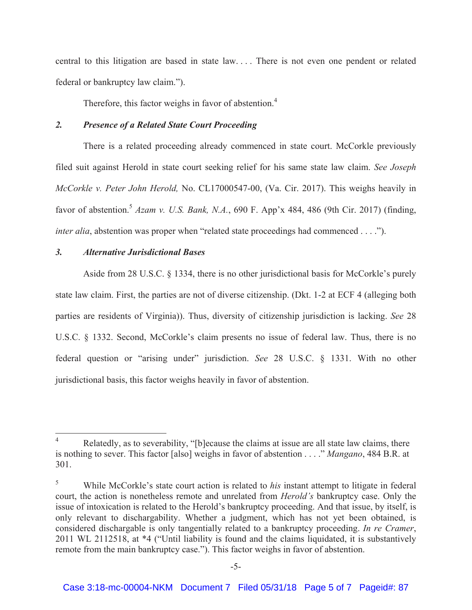central to this litigation are based in state law. . . . There is not even one pendent or related federal or bankruptcy law claim.").

Therefore, this factor weighs in favor of abstention.<sup>4</sup>

# *2. Presence of a Related State Court Proceeding*

There is a related proceeding already commenced in state court. McCorkle previously filed suit against Herold in state court seeking relief for his same state law claim. *See Joseph McCorkle v. Peter John Herold,* No. CL17000547-00, (Va. Cir. 2017). This weighs heavily in favor of abstention.<sup>5</sup> *Azam v. U.S. Bank, N.A.*, 690 F. App'x 484, 486 (9th Cir. 2017) (finding, *inter alia*, abstention was proper when "related state proceedings had commenced . . . .").

# *3. Alternative Jurisdictional Bases*

Aside from 28 U.S.C. § 1334, there is no other jurisdictional basis for McCorkle's purely state law claim. First, the parties are not of diverse citizenship. (Dkt. 1-2 at ECF 4 (alleging both parties are residents of Virginia)). Thus, diversity of citizenship jurisdiction is lacking. *See* 28 U.S.C. § 1332. Second, McCorkle's claim presents no issue of federal law. Thus, there is no federal question or "arising under" jurisdiction. *See* 28 U.S.C. § 1331. With no other jurisdictional basis, this factor weighs heavily in favor of abstention.

 $\frac{1}{4}$  Relatedly, as to severability, "[b]ecause the claims at issue are all state law claims, there is nothing to sever. This factor [also] weighs in favor of abstention . . . ." *Mangano*, 484 B.R. at 301.

<sup>5</sup> While McCorkle's state court action is related to *his* instant attempt to litigate in federal court, the action is nonetheless remote and unrelated from *Herold's* bankruptcy case. Only the issue of intoxication is related to the Herold's bankruptcy proceeding. And that issue, by itself, is only relevant to dischargability. Whether a judgment, which has not yet been obtained, is considered dischargable is only tangentially related to a bankruptcy proceeding. *In re Cramer*, 2011 WL 2112518, at \*4 ("Until liability is found and the claims liquidated, it is substantively remote from the main bankruptcy case."). This factor weighs in favor of abstention.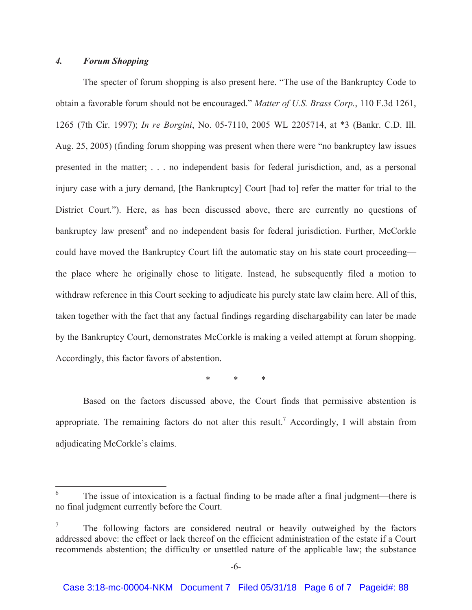# *4. Forum Shopping*

The specter of forum shopping is also present here. "The use of the Bankruptcy Code to obtain a favorable forum should not be encouraged." *Matter of U.S. Brass Corp.*, 110 F.3d 1261, 1265 (7th Cir. 1997); *In re Borgini*, No. 05-7110, 2005 WL 2205714, at \*3 (Bankr. C.D. Ill. Aug. 25, 2005) (finding forum shopping was present when there were "no bankruptcy law issues presented in the matter; . . . no independent basis for federal jurisdiction, and, as a personal injury case with a jury demand, [the Bankruptcy] Court [had to] refer the matter for trial to the District Court."). Here, as has been discussed above, there are currently no questions of bankruptcy law present<sup>6</sup> and no independent basis for federal jurisdiction. Further, McCorkle could have moved the Bankruptcy Court lift the automatic stay on his state court proceeding the place where he originally chose to litigate. Instead, he subsequently filed a motion to withdraw reference in this Court seeking to adjudicate his purely state law claim here. All of this, taken together with the fact that any factual findings regarding dischargability can later be made by the Bankruptcy Court, demonstrates McCorkle is making a veiled attempt at forum shopping. Accordingly, this factor favors of abstention.

\* \* \*

Based on the factors discussed above, the Court finds that permissive abstention is appropriate. The remaining factors do not alter this result.<sup>7</sup> Accordingly, I will abstain from adjudicating McCorkle's claims.

 6 The issue of intoxication is a factual finding to be made after a final judgment—there is no final judgment currently before the Court.

<sup>7</sup> The following factors are considered neutral or heavily outweighed by the factors addressed above: the effect or lack thereof on the efficient administration of the estate if a Court recommends abstention; the difficulty or unsettled nature of the applicable law; the substance